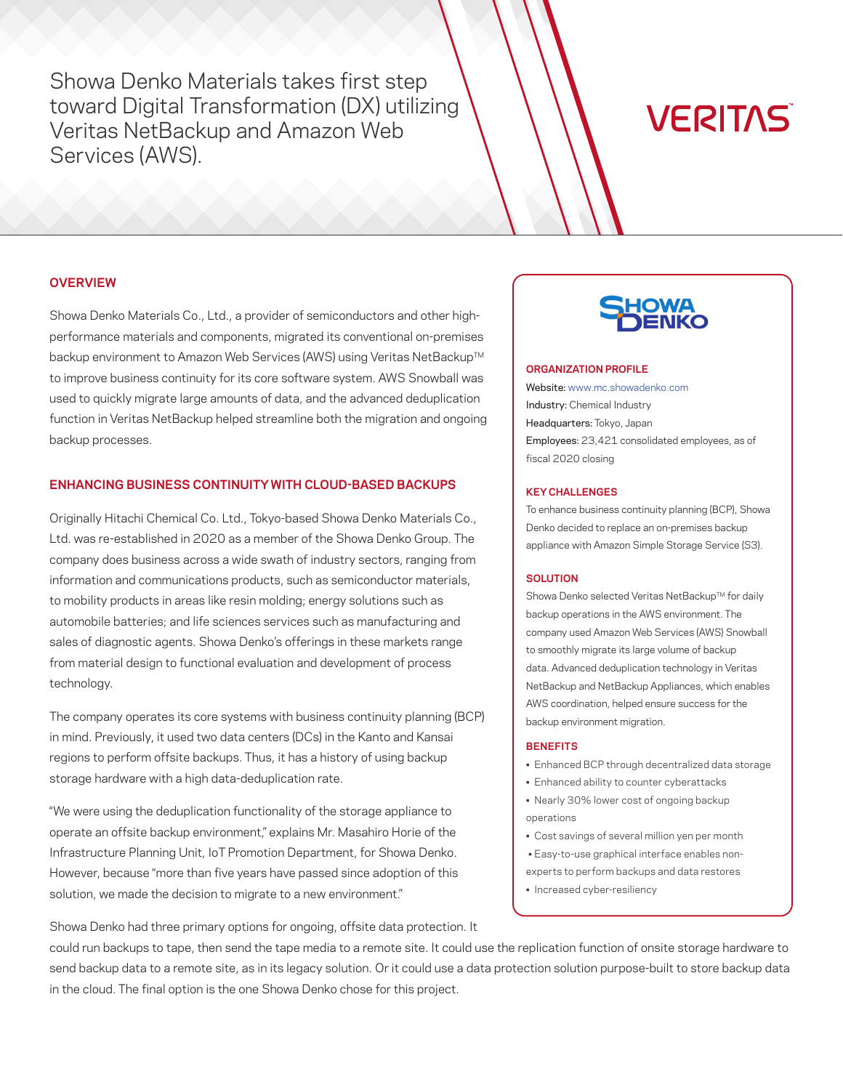Showa Denko Materials takes first step toward Digital Transformation (DX) utilizing Veritas NetBackup and Amazon Web Services (AWS).

# **VERITAS**

# **OVERVIEW**

Showa Denko Materials Co., Ltd., a provider of semiconductors and other highperformance materials and components, migrated its conventional on-premises backup environment to Amazon Web Services (AWS) using Veritas NetBackup™ to improve business continuity for its core software system. AWS Snowball was used to quickly migrate large amounts of data, and the advanced deduplication function in Veritas NetBackup helped streamline both the migration and ongoing backup processes.

# **ENHANCING BUSINESS CONTINUITY WITH CLOUD-BASED BACKUPS**

Originally Hitachi Chemical Co. Ltd., Tokyo-based Showa Denko Materials Co., Ltd. was re-established in 2020 as a member of the Showa Denko Group. The company does business across a wide swath of industry sectors, ranging from information and communications products, such as semiconductor materials, to mobility products in areas like resin molding; energy solutions such as automobile batteries; and life sciences services such as manufacturing and sales of diagnostic agents. Showa Denko's offerings in these markets range from material design to functional evaluation and development of process technology.

The company operates its core systems with business continuity planning (BCP) in mind. Previously, it used two data centers (DCs) in the Kanto and Kansai regions to perform offsite backups. Thus, it has a history of using backup storage hardware with a high data-deduplication rate.

"We were using the deduplication functionality of the storage appliance to operate an offsite backup environment," explains Mr. Masahiro Horie of the Infrastructure Planning Unit, IoT Promotion Department, for Showa Denko. However, because "more than five years have passed since adoption of this solution, we made the decision to migrate to a new environment."

#### **ORGANIZATION PROFILE**

Website: [www.mc.showadenko.com](http://www.mc.showadenko.com) Industry: Chemical Industry Headquarters: Tokyo, Japan Employees: 23,421 consolidated employees, as of fiscal 2020 closing

#### **KEY CHALLENGES**

To enhance business continuity planning (BCP), Showa Denko decided to replace an on-premises backup appliance with Amazon Simple Storage Service (S3).

#### **SOLUTION**

Showa Denko selected Veritas NetBackup™ for daily backup operations in the AWS environment. The company used Amazon Web Services (AWS) Snowball to smoothly migrate its large volume of backup data. Advanced deduplication technology in Veritas NetBackup and NetBackup Appliances, which enables AWS coordination, helped ensure success for the backup environment migration.

#### **BENEFITS**

- Enhanced BCP through decentralized data storage
- Enhanced ability to counter cyberattacks
- Nearly 30% lower cost of ongoing backup operations
- Cost savings of several million yen per month
- Easy-to-use graphical interface enables non-
- experts to perform backups and data restores
- Increased cyber-resiliency

Showa Denko had three primary options for ongoing, offsite data protection. It

could run backups to tape, then send the tape media to a remote site. It could use the replication function of onsite storage hardware to send backup data to a remote site, as in its legacy solution. Or it could use a data protection solution purpose-built to store backup data in the cloud. The final option is the one Showa Denko chose for this project.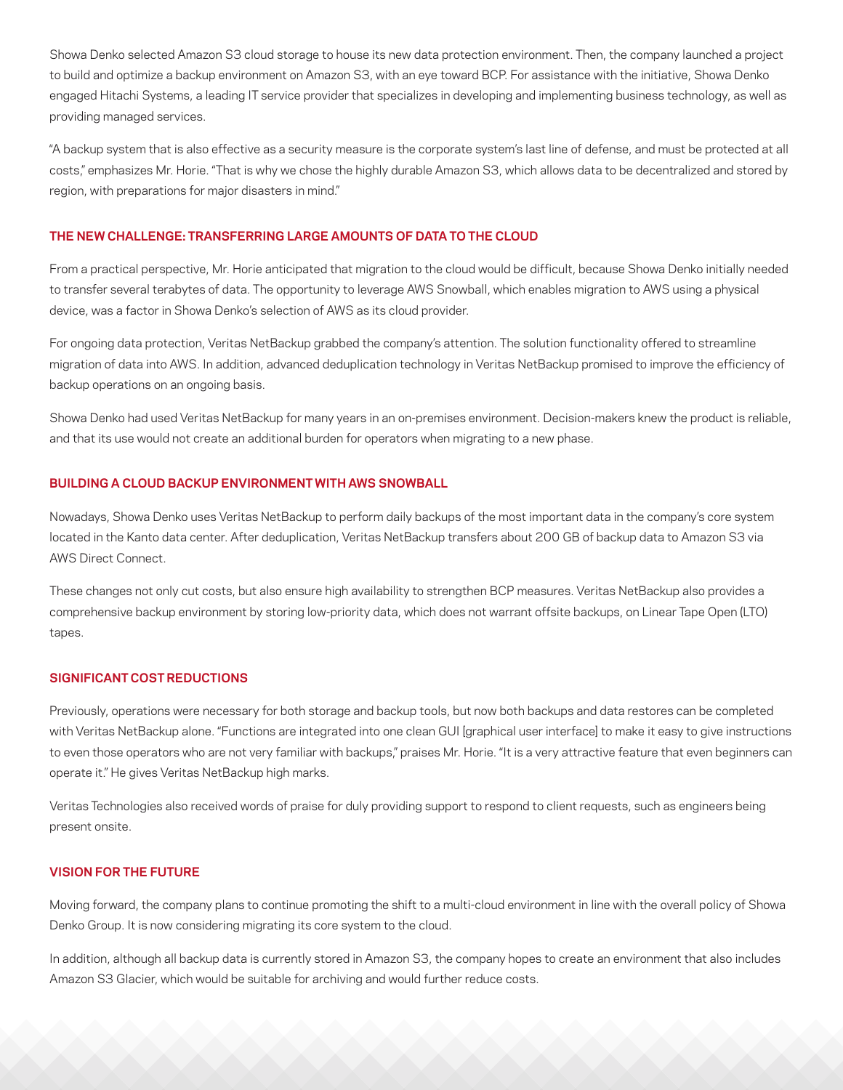Showa Denko selected Amazon S3 cloud storage to house its new data protection environment. Then, the company launched a project to build and optimize a backup environment on Amazon S3, with an eye toward BCP. For assistance with the initiative, Showa Denko engaged Hitachi Systems, a leading IT service provider that specializes in developing and implementing business technology, as well as providing managed services.

"A backup system that is also effective as a security measure is the corporate system's last line of defense, and must be protected at all costs," emphasizes Mr. Horie. "That is why we chose the highly durable Amazon S3, which allows data to be decentralized and stored by region, with preparations for major disasters in mind."

### **THE NEW CHALLENGE: TRANSFERRING LARGE AMOUNTS OF DATA TO THE CLOUD**

From a practical perspective, Mr. Horie anticipated that migration to the cloud would be difficult, because Showa Denko initially needed to transfer several terabytes of data. The opportunity to leverage AWS Snowball, which enables migration to AWS using a physical device, was a factor in Showa Denko's selection of AWS as its cloud provider.

For ongoing data protection, Veritas NetBackup grabbed the company's attention. The solution functionality offered to streamline migration of data into AWS. In addition, advanced deduplication technology in Veritas NetBackup promised to improve the efficiency of backup operations on an ongoing basis.

Showa Denko had used Veritas NetBackup for many years in an on-premises environment. Decision-makers knew the product is reliable, and that its use would not create an additional burden for operators when migrating to a new phase.

## **BUILDING A CLOUD BACKUP ENVIRONMENT WITH AWS SNOWBALL**

Nowadays, Showa Denko uses Veritas NetBackup to perform daily backups of the most important data in the company's core system located in the Kanto data center. After deduplication, Veritas NetBackup transfers about 200 GB of backup data to Amazon S3 via AWS Direct Connect.

These changes not only cut costs, but also ensure high availability to strengthen BCP measures. Veritas NetBackup also provides a comprehensive backup environment by storing low-priority data, which does not warrant offsite backups, on Linear Tape Open (LTO) tapes.

# **SIGNIFICANT COST REDUCTIONS**

Previously, operations were necessary for both storage and backup tools, but now both backups and data restores can be completed with Veritas NetBackup alone. "Functions are integrated into one clean GUI [graphical user interface] to make it easy to give instructions to even those operators who are not very familiar with backups," praises Mr. Horie. "It is a very attractive feature that even beginners can operate it." He gives Veritas NetBackup high marks.

Veritas Technologies also received words of praise for duly providing support to respond to client requests, such as engineers being present onsite.

## **VISION FOR THE FUTURE**

Moving forward, the company plans to continue promoting the shift to a multi-cloud environment in line with the overall policy of Showa Denko Group. It is now considering migrating its core system to the cloud.

In addition, although all backup data is currently stored in Amazon S3, the company hopes to create an environment that also includes Amazon S3 Glacier, which would be suitable for archiving and would further reduce costs.